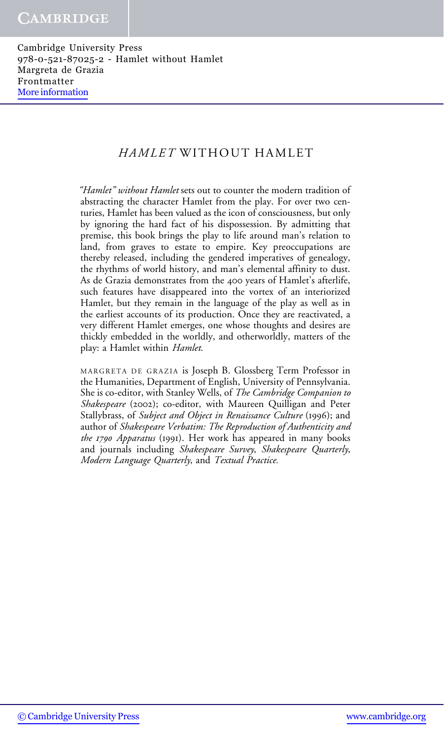#### HAMLET WITHOUT HAMLET

"Hamlet" without Hamlet sets out to counter the modern tradition of abstracting the character Hamlet from the play. For over two centuries, Hamlet has been valued as the icon of consciousness, but only by ignoring the hard fact of his dispossession. By admitting that premise, this book brings the play to life around man's relation to land, from graves to estate to empire. Key preoccupations are thereby released, including the gendered imperatives of genealogy, the rhythms of world history, and man's elemental affinity to dust. As de Grazia demonstrates from the 400 years of Hamlet's afterlife, such features have disappeared into the vortex of an interiorized Hamlet, but they remain in the language of the play as well as in the earliest accounts of its production. Once they are reactivated, a very different Hamlet emerges, one whose thoughts and desires are thickly embedded in the worldly, and otherworldly, matters of the play: a Hamlet within Hamlet.

MARGRETA DE GRAZIA is Joseph B. Glossberg Term Professor in the Humanities, Department of English, University of Pennsylvania. She is co-editor, with Stanley Wells, of The Cambridge Companion to Shakespeare (2002); co-editor, with Maureen Quilligan and Peter Stallybrass, of Subject and Object in Renaissance Culture (1996); and author of Shakespeare Verbatim: The Reproduction of Authenticity and the 1790 Apparatus (1991). Her work has appeared in many books and journals including Shakespeare Survey, Shakespeare Quarterly, Modern Language Quarterly, and Textual Practice.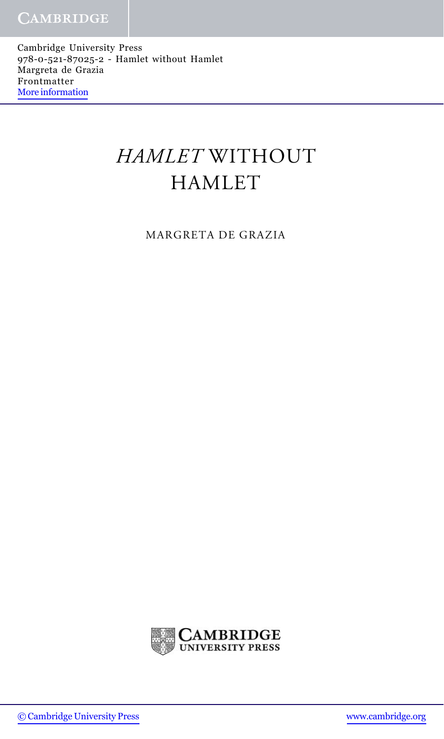# HAMLET WITHOUT HAMLET

MARGRETA DE GRAZIA

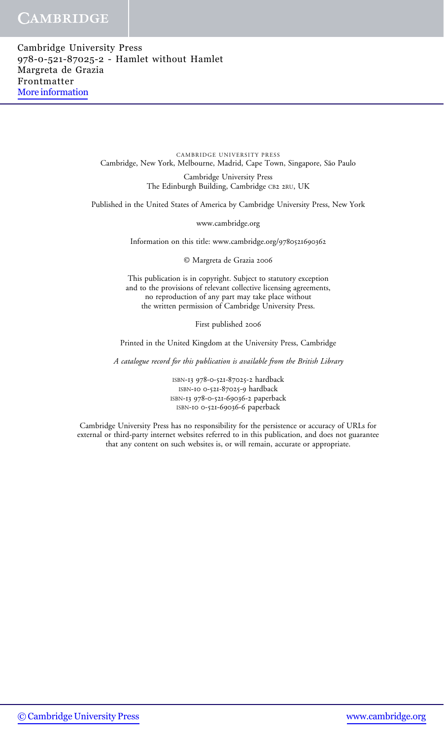#### **CAMBRIDGE**

Cambridge University Press 978-0-521-87025-2 - Hamlet without Hamlet Margreta de Grazia Frontmatter [More information](http://www.cambridge.org/0521870259)

> CAMBRIDGE UNIVERSITY PRESS Cambridge, New York, Melbourne, Madrid, Cape Town, Singapore, São Paulo

> > Cambridge University Press The Edinburgh Building, Cambridge CB2 2RU, UK

Published in the United States of America by Cambridge University Press, New York

www.cambridge.org

Information on this title: www.cambridge.org/9780521690362

© Margreta de Grazia 2006

This publication is in copyright. Subject to statutory exception and to the provisions of relevant collective licensing agreements, no reproduction of any part may take place without the written permission of Cambridge University Press.

First published 2006

Printed in the United Kingdom at the University Press, Cambridge

A catalogue record for this publication is available from the British Library

ISBN-13 978-0-521-87025-2 hardback ISBN-10 0-521-87025-9 hardback ISBN-13 978-0-521-69036-2 paperback ISBN-10 0-521-69036-6 paperback

Cambridge University Press has no responsibility for the persistence or accuracy of URLs for external or third-party internet websites referred to in this publication, and does not guarantee that any content on such websites is, or will remain, accurate or appropriate.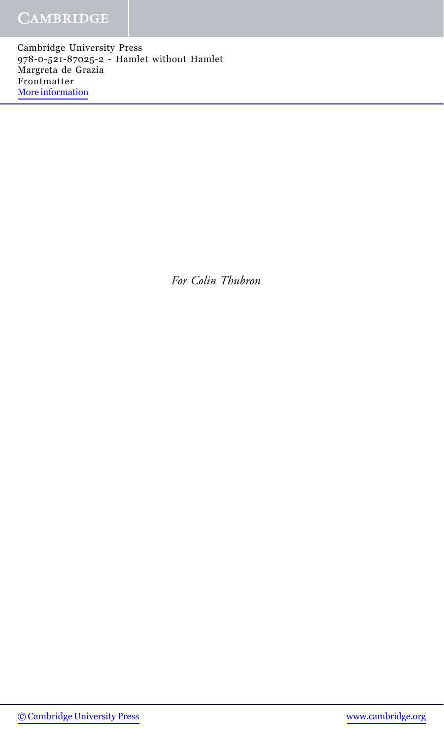### **CAMBRIDGE**

Cambridge University Press 978-0-521-87025-2 - Hamlet without Hamlet Margreta de Grazia Frontmatter [More information](http://www.cambridge.org/0521870259)

For Colin Thubron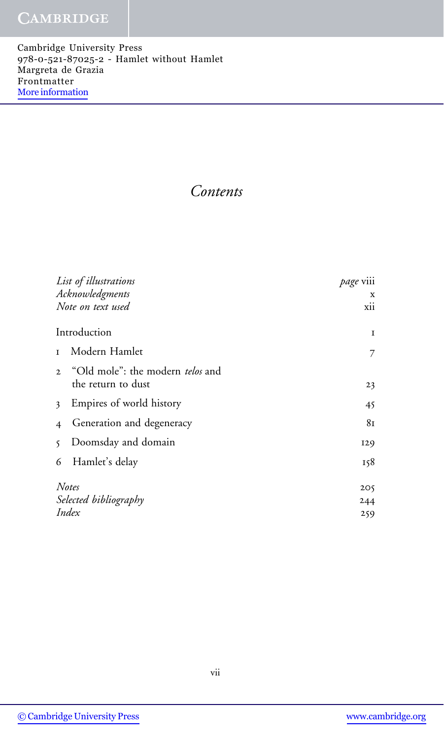#### **CAMBRIDGE**

Cambridge University Press 978-0-521-87025-2 - Hamlet without Hamlet Margreta de Grazia Frontmatter [More information](http://www.cambridge.org/0521870259)

Contents

| List of illustrations                              | page viii |
|----------------------------------------------------|-----------|
| Acknowledgments                                    | X         |
| Note on text used                                  | xii       |
| Introduction                                       | Ι.        |
| Modern Hamlet<br>$\mathbf I$                       | 7         |
| "Old mole": the modern telos and<br>$\overline{2}$ |           |
| the return to dust                                 | 23        |
| Empires of world history<br>$\overline{3}$         | 45        |
| Generation and degeneracy<br>$\overline{4}$        | 81        |
| Doomsday and domain<br>$\mathcal{S}$               | 129       |
| Hamlet's delay<br>6                                | 158       |
|                                                    |           |
| Notes                                              | 205       |
| Selected bibliography                              | 244       |
| Index                                              | 259       |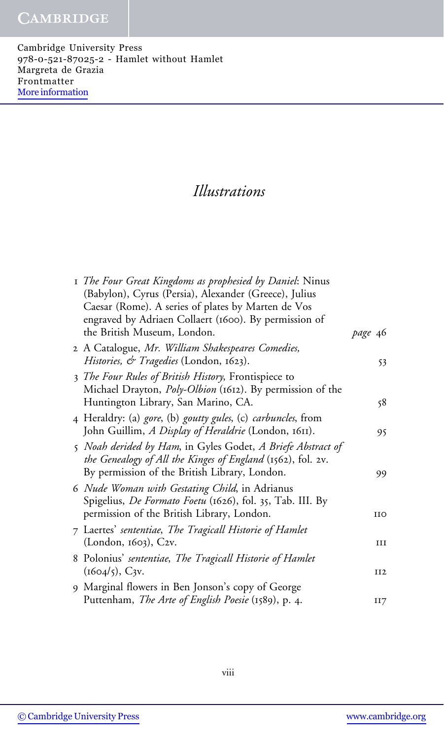## Illustrations

| I The Four Great Kingdoms as prophesied by Daniel: Ninus<br>(Babylon), Cyrus (Persia), Alexander (Greece), Julius |         |
|-------------------------------------------------------------------------------------------------------------------|---------|
| Caesar (Rome). A series of plates by Marten de Vos                                                                |         |
| engraved by Adriaen Collaert (1600). By permission of                                                             |         |
| the British Museum, London.                                                                                       | page 46 |
| 2 A Catalogue, Mr. William Shakespeares Comedies,                                                                 |         |
| Histories, & Tragedies (London, 1623).                                                                            | 53      |
| 3 The Four Rules of British History, Frontispiece to                                                              |         |
| Michael Drayton, <i>Poly-Olbion</i> (1612). By permission of the                                                  |         |
| Huntington Library, San Marino, CA.                                                                               | 58      |
| 4 Heraldry: (a) <i>gore</i> , (b) <i>goutty gules</i> , (c) <i>carbuncles</i> , from                              |         |
| John Guillim, A Display of Heraldrie (London, 1611).                                                              | 95      |
| 5 Noah derided by Ham, in Gyles Godet, A Briefe Abstract of                                                       |         |
| the Genealogy of All the Kinges of England (1562), fol. 2v.                                                       |         |
| By permission of the British Library, London.                                                                     | 99      |
| 6 Nude Woman with Gestating Child, in Adrianus                                                                    |         |
| Spigelius, <i>De Formato Foetu</i> (1626), fol. 35, Tab. III. By                                                  |         |
| permission of the British Library, London.                                                                        | ИO      |
| 7 Laertes' sententiae, The Tragicall Historie of Hamlet                                                           |         |
| (London, 1603), C2v.                                                                                              | Ш       |
| 8 Polonius' sententiae, The Tragicall Historie of Hamlet                                                          |         |
| $(1604/5)$ , C <sub>3V</sub> .                                                                                    | II2     |
| 9 Marginal flowers in Ben Jonson's copy of George                                                                 |         |
| Puttenham, The Arte of English Poesie (1589), p. 4.                                                               | II7     |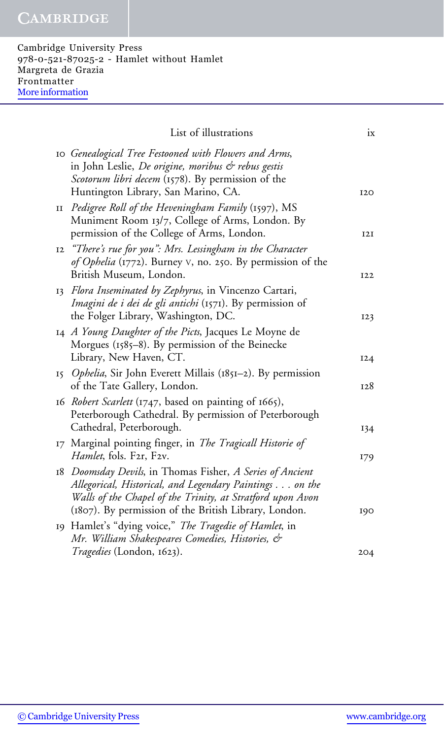| List of illustrations                                                                                                                                                                                                                       | ix              |
|---------------------------------------------------------------------------------------------------------------------------------------------------------------------------------------------------------------------------------------------|-----------------|
| 10 Genealogical Tree Festooned with Flowers and Arms,<br>in John Leslie, De origine, moribus & rebus gestis<br>Scotorum libri decem (1578). By permission of the<br>Huntington Library, San Marino, CA.                                     | <b>I2O</b>      |
| II Pedigree Roll of the Heveningham Family (1597), MS<br>Muniment Room 13/7, College of Arms, London. By<br>permission of the College of Arms, London.                                                                                      | 12I             |
| 12 "There's rue for you": Mrs. Lessingham in the Character<br>of Ophelia (1772). Burney V, no. 250. By permission of the<br>British Museum, London.                                                                                         | I <sub>22</sub> |
| 13 Flora Inseminated by Zephyrus, in Vincenzo Cartari,<br><i>Imagini de i dei de gli antichi</i> (1571). By permission of<br>the Folger Library, Washington, DC.                                                                            | 123             |
| 14 A Young Daughter of the Picts, Jacques Le Moyne de<br>Morgues (1585-8). By permission of the Beinecke<br>Library, New Haven, CT.                                                                                                         | 124             |
| 15 Ophelia, Sir John Everett Millais (1851–2). By permission<br>of the Tate Gallery, London.                                                                                                                                                | 128             |
| 16 Robert Scarlett (1747, based on painting of 1665),<br>Peterborough Cathedral. By permission of Peterborough<br>Cathedral, Peterborough.                                                                                                  | 134             |
| 17 Marginal pointing finger, in <i>The Tragicall Historie of</i><br>Hamlet, fols. F2r, F2v.                                                                                                                                                 | 179             |
| 18 Doomsday Devils, in Thomas Fisher, A Series of Ancient<br>Allegorical, Historical, and Legendary Paintings on the<br>Walls of the Chapel of the Trinity, at Stratford upon Avon<br>(1807). By permission of the British Library, London. | 190             |
| 19 Hamlet's "dying voice," The Tragedie of Hamlet, in<br>Mr. William Shakespeares Comedies, Histories, &                                                                                                                                    |                 |
| <i>Tragedies</i> (London, 1623).                                                                                                                                                                                                            | 204             |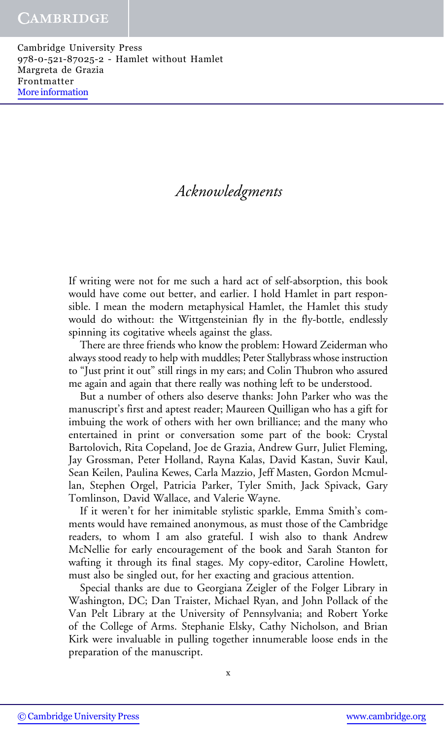## Acknowledgments

If writing were not for me such a hard act of self-absorption, this book would have come out better, and earlier. I hold Hamlet in part responsible. I mean the modern metaphysical Hamlet, the Hamlet this study would do without: the Wittgensteinian fly in the fly-bottle, endlessly spinning its cogitative wheels against the glass.

There are three friends who know the problem: Howard Zeiderman who always stood ready to help with muddles; Peter Stallybrass whose instruction to "Just print it out" still rings in my ears; and Colin Thubron who assured me again and again that there really was nothing left to be understood.

But a number of others also deserve thanks: John Parker who was the manuscript's first and aptest reader; Maureen Quilligan who has a gift for imbuing the work of others with her own brilliance; and the many who entertained in print or conversation some part of the book: Crystal Bartolovich, Rita Copeland, Joe de Grazia, Andrew Gurr, Juliet Fleming, Jay Grossman, Peter Holland, Rayna Kalas, David Kastan, Suvir Kaul, Sean Keilen, Paulina Kewes, Carla Mazzio, Jeff Masten, Gordon Mcmullan, Stephen Orgel, Patricia Parker, Tyler Smith, Jack Spivack, Gary Tomlinson, David Wallace, and Valerie Wayne.

If it weren't for her inimitable stylistic sparkle, Emma Smith's comments would have remained anonymous, as must those of the Cambridge readers, to whom I am also grateful. I wish also to thank Andrew McNellie for early encouragement of the book and Sarah Stanton for wafting it through its final stages. My copy-editor, Caroline Howlett, must also be singled out, for her exacting and gracious attention.

Special thanks are due to Georgiana Zeigler of the Folger Library in Washington, DC; Dan Traister, Michael Ryan, and John Pollack of the Van Pelt Library at the University of Pennsylvania; and Robert Yorke of the College of Arms. Stephanie Elsky, Cathy Nicholson, and Brian Kirk were invaluable in pulling together innumerable loose ends in the preparation of the manuscript.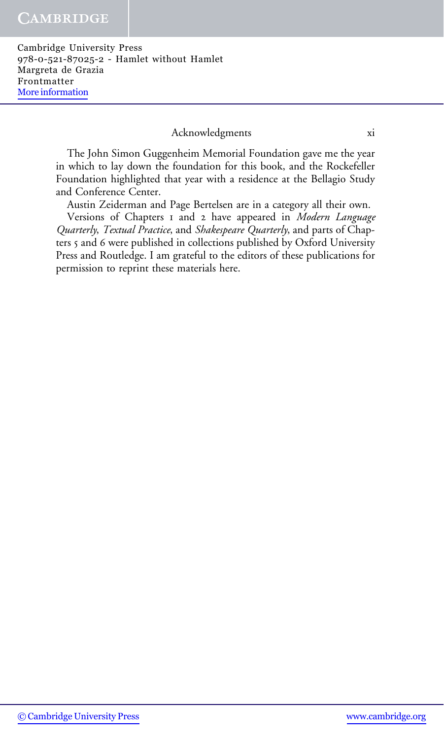#### Acknowledgments xi

The John Simon Guggenheim Memorial Foundation gave me the year in which to lay down the foundation for this book, and the Rockefeller Foundation highlighted that year with a residence at the Bellagio Study and Conference Center.

Austin Zeiderman and Page Bertelsen are in a category all their own.

Versions of Chapters I and 2 have appeared in Modern Language Quarterly, Textual Practice, and Shakespeare Quarterly, and parts of Chapters 5 and 6 were published in collections published by Oxford University Press and Routledge. I am grateful to the editors of these publications for permission to reprint these materials here.